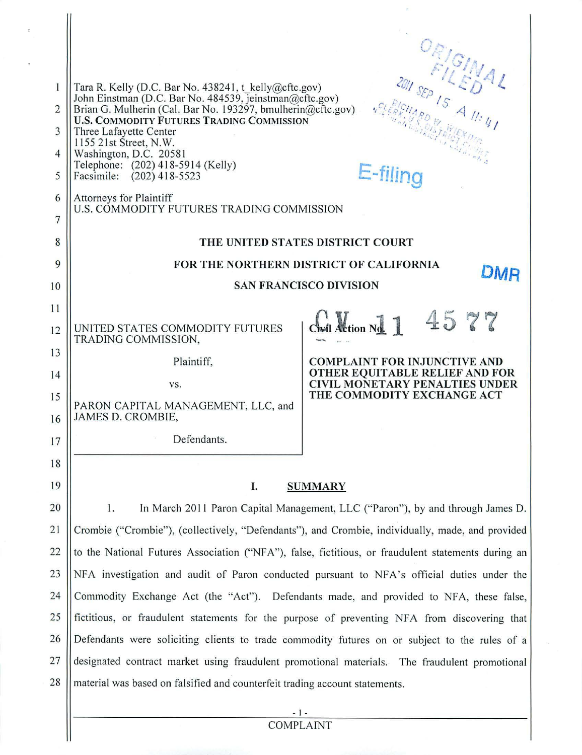| 1                   | ORIGINAL<br>Tara R. Kelly (D.C. Bar No. 438241, t kelly $@c$ ftc.gov)<br>John Einstman (D.C. Bar No. 484539, Jeinstman@cftc.gov)<br>Brian G. Mulherin (Cal. Bar No. 193297, bmulherin@cftc.gov)<br><b>U.S. COMMODITY FUTURES TRADING COMMISSION</b><br>Three Lafayette Center |                                                                                               |  |
|---------------------|-------------------------------------------------------------------------------------------------------------------------------------------------------------------------------------------------------------------------------------------------------------------------------|-----------------------------------------------------------------------------------------------|--|
| $\overline{2}$<br>3 |                                                                                                                                                                                                                                                                               |                                                                                               |  |
| 4                   | 1155 21st Street, N.W.<br>Washington, D.C. 20581                                                                                                                                                                                                                              |                                                                                               |  |
| 5                   | Telephone: (202) 418-5914 (Kelly)<br>Facsimile: (202) 418-5523                                                                                                                                                                                                                | E-filing                                                                                      |  |
| 6<br>7              | Attorneys for Plaintiff<br>U.S. COMMODITY FUTURES TRADING COMMISSION                                                                                                                                                                                                          |                                                                                               |  |
| 8                   | THE UNITED STATES DISTRICT COURT                                                                                                                                                                                                                                              |                                                                                               |  |
| 9                   | FOR THE NORTHERN DISTRICT OF CALIFORNIA                                                                                                                                                                                                                                       |                                                                                               |  |
| 10                  | <b>SAN FRANCISCO DIVISION</b>                                                                                                                                                                                                                                                 |                                                                                               |  |
| 11                  | UNITED STATES COMMODITY FUTURES                                                                                                                                                                                                                                               | 4577<br>$C_{\text{left}}$ $\lambda$ $\text{H}_{\text{right}}$ $N_{\text{right}}$ $\mathbb{1}$ |  |
| 12<br>13            | TRADING COMMISSION,                                                                                                                                                                                                                                                           |                                                                                               |  |
| 14                  | Plaintiff,                                                                                                                                                                                                                                                                    | <b>COMPLAINT FOR INJUNCTIVE AND</b><br>OTHER EQUITABLE RELIEF AND FOR                         |  |
| 15                  | VS.                                                                                                                                                                                                                                                                           | <b>CIVIL MONETARY PENALTIES UNDER</b><br>THE COMMODITY EXCHANGE ACT                           |  |
| 16                  | PARON CAPITAL MANAGEMENT, LLC, and<br>JAMES D. CROMBIE,                                                                                                                                                                                                                       |                                                                                               |  |
| 17                  | Defendants.                                                                                                                                                                                                                                                                   |                                                                                               |  |
| 18                  |                                                                                                                                                                                                                                                                               |                                                                                               |  |
| 19                  | I.                                                                                                                                                                                                                                                                            | <b>SUMMARY</b>                                                                                |  |
| 20                  | In March 2011 Paron Capital Management, LLC ("Paron"), by and through James D.<br>1.                                                                                                                                                                                          |                                                                                               |  |
| 21                  | Crombie ("Crombie"), (collectively, "Defendants"), and Crombie, individually, made, and provided                                                                                                                                                                              |                                                                                               |  |
| 22                  | to the National Futures Association ("NFA"), false, fictitious, or fraudulent statements during an                                                                                                                                                                            |                                                                                               |  |
| 23                  | NFA investigation and audit of Paron conducted pursuant to NFA's official duties under the                                                                                                                                                                                    |                                                                                               |  |
| 24                  | Commodity Exchange Act (the "Act"). Defendants made, and provided to NFA, these false,                                                                                                                                                                                        |                                                                                               |  |
| 25                  | fictitious, or fraudulent statements for the purpose of preventing NFA from discovering that                                                                                                                                                                                  |                                                                                               |  |
| 26                  | Defendants were soliciting clients to trade commodity futures on or subject to the rules of a                                                                                                                                                                                 |                                                                                               |  |
| 27                  | designated contract market using fraudulent promotional materials. The fraudulent promotional                                                                                                                                                                                 |                                                                                               |  |
| 28                  | material was based on falsified and counterfeit trading account statements.                                                                                                                                                                                                   |                                                                                               |  |
|                     |                                                                                                                                                                                                                                                                               |                                                                                               |  |

 $\mathbf{z}$ 

- 1 - COMPLAINT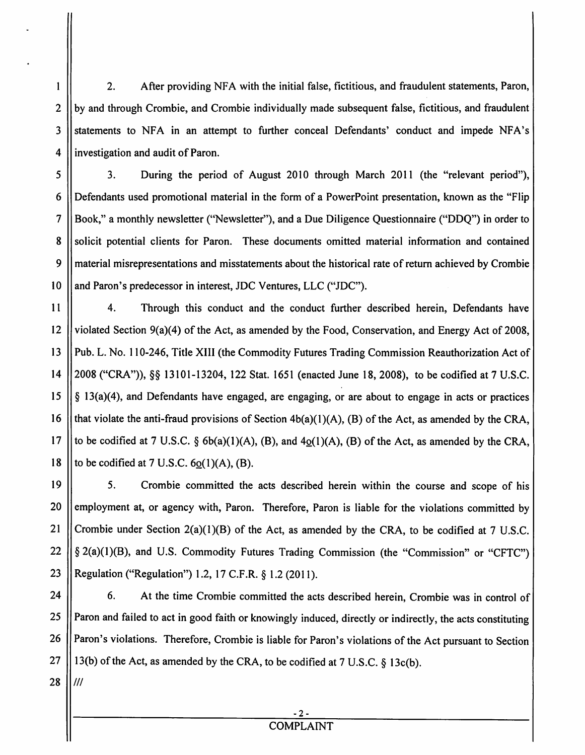2. After providing NFA with the initial false, fictitious, and fraudulent statements, Paron,  $\mathbf{1}$ 2 by and through Crombie, and Crombie individually made subsequent false, fictitious, and fraudulent 3 Statements to NFA in an attempt to further conceal Defendants' conduct and impede NFA's 4 | investigation and audit of Paron.

 3. During the period of August 2010 through March 2011 (the "relevant period"), Defendants used promotional material in the form of a PowerPoint presentation, known as the "Flip Book," a monthly newsletter ("Newsletter"), and a Due Diligence Questionnaire ("DDQ") in order to 8 Solicit potential clients for Paron. These documents omitted material information and contained material misrepresentations and misstatements about the historical rate ofreturn achieved by Crombie 10 || and Paron's predecessor in interest, JDC Ventures, LLC ("JDC").

11 4. Through this conduct and the conduct further described herein, Defendants have 12 violated Section 9(a)(4) of the Act, as amended by the Food, Conservation, and Energy Act of 2008, 13 Pub. L. No. 110-246, Title XIII (the Commodity Futures Trading Commission Reauthorization Act of 14 | 2008 ("CRA")), §§ 13101-13204, 122 Stat. 1651 (enacted June 18, 2008), to be codified at 7 U.S.C. 15  $\|\S$  13(a)(4), and Defendants have engaged, are engaging, or are about to engage in acts or practices 16 || that violate the anti-fraud provisions of Section  $4b(a)(1)(A)$ , (B) of the Act, as amended by the CRA, 17 || to be codified at 7 U.S.C.  $\S$  6b(a)(1)(A), (B), and  $4<sub>Q</sub>(1)(A)$ , (B) of the Act, as amended by the CRA, 18 || to be codified at 7 U.S.C.  $6Q(1)(A)$ , (B).

19 5. Crombie committed the acts described herein within the course and scope of his 20 || employment at, or agency with, Paron. Therefore, Paron is liable for the violations committed by 21 Crombie under Section  $2(a)(1)(B)$  of the Act, as amended by the CRA, to be codified at 7 U.S.C. 22  $\|\$ § 2(a)(1)(B), and U.S. Commodity Futures Trading Commission (the "Commission" or "CFTC") 23 || Regulation ("Regulation") 1.2, 17 C.F.R. § 1.2 (2011).

24 | 6. At the time Crombie committed the acts described herein, Crombie was in control of 25 || Paron and failed to act in good faith or knowingly induced, directly or indirectly, the acts constituting 26 | Paron's violations. Therefore, Crombie is liable for Paron's violations of the Act pursuant to Section 27 | 13(b) of the Act, as amended by the CRA, to be codified at 7 U.S.C.  $\S$  13c(b).

 $28$   $\frac{1}{1}$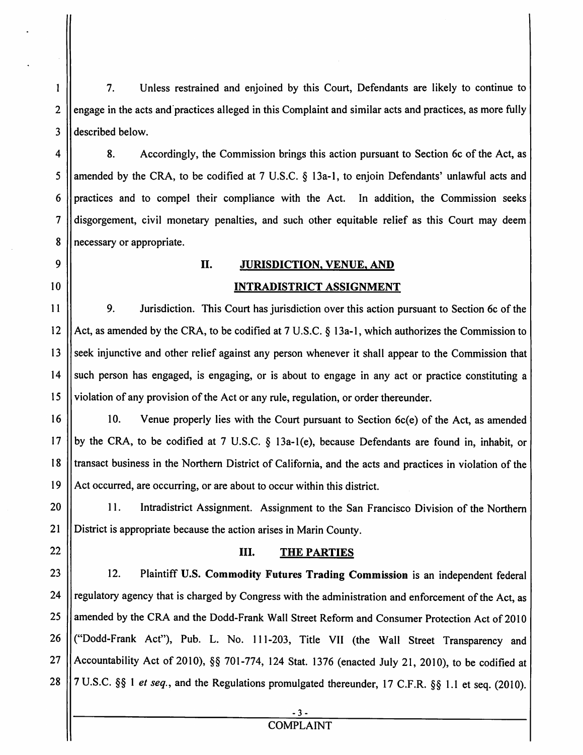2 3 7. Unless restrained and enjoined by this Court, Defendants are likely to continue to engage in the acts and·practices alleged in this Complaint and similar acts and practices, as more fully described below.

4 5 6 7 8 8. Accordingly, the Commission brings this action pursuant to Section 6c of the Act, as amended by the CRA, to be codified at 7 U.S.C. § 13a-l, to enjoin Defendants' unlawful acts and practices and to compel their compliance with the Act. In addition, the Commission seeks disgorgement, civil monetary penalties, and such other equitable relief as this Court may deem necessary or appropriate.

II. JURISDICTION, VENUE, AND

# 9

 $\mathbf{1}$ 

## 10

# INTRADISTRICT ASSIGNMENT

11 12 13 14 15 9. Jurisdiction. This Court has jurisdiction over this action pursuant to Section 6c of the Act, as amended by the CRA, to be codified at 7 U.S.C. § 13a-l, which authorizes the Commission to seek injunctive and other relief against any person whenever it shall appear to the Commission that such person has engaged, is engaging, or is about to engage in any act or practice constituting a violation of any provision ofthe Act or any rule, regulation, or order thereunder.

16 17 18 19 10. Venue properly lies with the Court pursuant to Section 6c(e) of the Act, as amended by the CRA, to be codified at 7 U.S.C. § 13a-l(e), because Defendants are found in, inhabit, or transact business in the Northern District of California, and the acts and practices in violation of the Act occurred, are occurring, or are about to occur within this district.

20 21 II. Intradistrict Assignment. Assignment to the San Francisco Division of the Northern District is appropriate because the action arises in Marin County.

- 22
- 23

### III. THE PARTIES

24 25 26 27 28 12. Plaintiff U.S. Commodity Futures Trading Commission is an independent federal regulatory agency that is charged by Congress with the administration and enforcement of the Act, as amended by the CRA and the Dodd-Frank Wall Street Reform and Consumer Protection Act of 2010 ("Dodd-Frank Act"), Pub. L. No. 111-203, Title VII (the Wall Street Transparency and Accountability Act of 2010), §§ 701-774,124 Stat. 1376 (enacted July 21,2010), to be codified at 7 U.S.C. §§ I *et seq.,* and the Regulations promulgated thereunder, 17 C.F.R. §§ 1.1 et seq. (2010).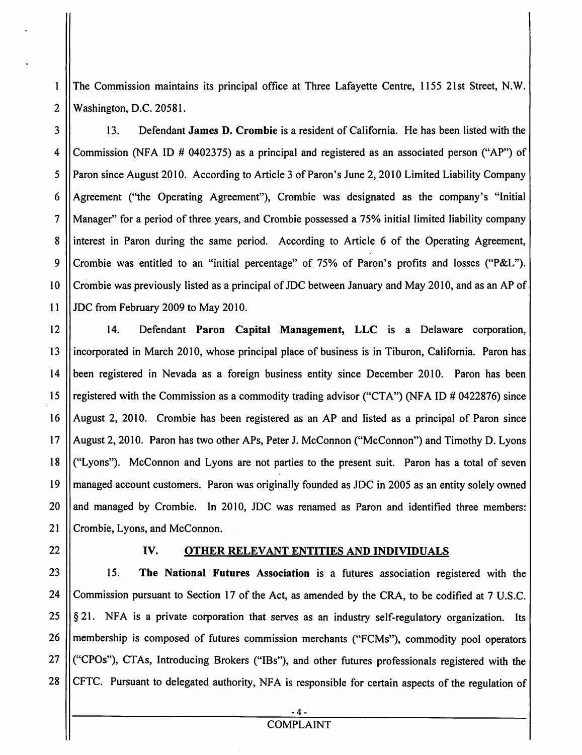The Commission maintains its principal office at Three Lafayette Centre, 1155 21st Street, N.W. 2 Washington, D.C. 20581.

 $3 \parallel$  13. Defendant **James D. Crombie** is a resident of California. He has been listed with the 4 Commission (NFA 10 # 0402375) as a principal and registered as an associated person ("AP") of 5 || Paron since August 2010. According to Article 3 of Paron's June 2, 2010 Limited Liability Company 6  $\parallel$  Agreement ("the Operating Agreement"), Crombie was designated as the company's "Initial 7 Manager" for a period of three years, and Crombie possessed a 75% initial limited liability company 8 lest in Paron during the same period. According to Article 6 of the Operating Agreement, 9 Crombie was entitled to an "initial percentage" of 75% of Paron's profits and losses ("P&L"). 10 Crombie was previously listed as a principal of JDC between January and May 2010, and as an AP of 11 JDC from February 2009 to May 2010.

 14. Defendant Paron Capital Management, LLC is a Delaware corporation, incorporated in March 2010, whose principal place of business is in Tiburon, California. Paron has been registered in Nevada as a foreign business entity since December 2010. Paron has been 15 || registered with the Commission as a commodity trading advisor ("CTA") (NFA ID # 0422876) since August 2, 2010. Crombie has been registered as an AP and listed as a principal of Paron since August 2, 2010. Paron has two other APs, Peter J. McConnon ("McConnon") and Timothy D. Lyons ("Lyons"). McConnon and Lyons are not parties to the present suit. Paron has a total of seven managed account customers. Paron was originally founded as JDC in 2005 as an entity solely owned  $\parallel$  and managed by Crombie. In 2010, JDC was renamed as Paron and identified three members: 21 Crombie, Lyons, and McConnon.

22

 $\mathbf{1}$ 

#### IV. OTHER RELEVANT ENTITIES AND INDIVIDUALS

The National Futures Association is a futures association registered with the  $23 \parallel$  15. 24 Commission pursuant to Section 17 of the Act, as amended by the CRA, to be codified at 7 U.S.C. 25  $\|\$ § 21. NFA is a private corporation that serves as an industry self-regulatory organization. Its 26 | membership is composed of futures commission merchants ("FCMs"), commodity pool operators  $27$   $\parallel$  ("CPOs"), CTAs, Introducing Brokers ("IBs"), and other futures professionals registered with the 28 | CFTC. Pursuant to delegated authority, NFA is responsible for certain aspects of the regulation of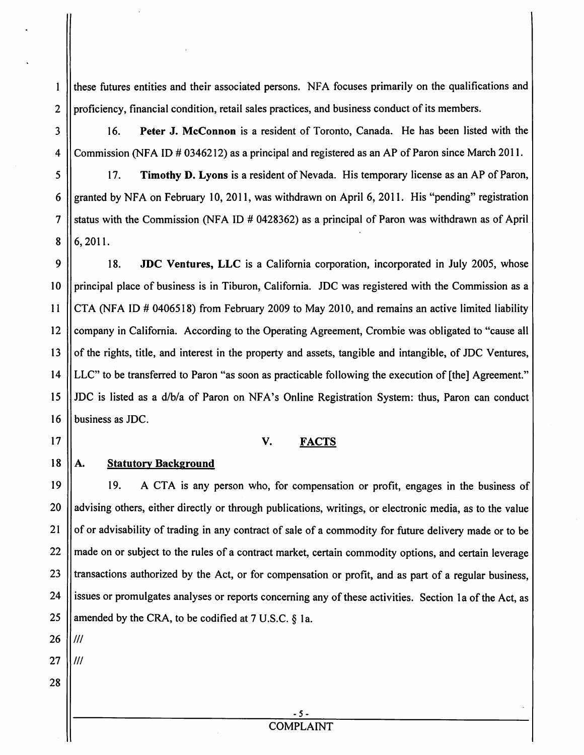these futures entities and their associated persons. NFA focuses primarily on the qualifications and 2  $\parallel$  proficiency, financial condition, retail sales practices, and business conduct of its members.

3 16. Peter J. McConnon is a resident of Toronto, Canada. He has been listed with the 4 Commission (NFA ID # 0346212) as a principal and registered as an AP of Paron since March 2011.

5 | 17. Timothy D. Lyons is a resident of Nevada. His temporary license as an AP of Paron, 6 granted by NFA on February 10, 2011, was withdrawn on April 6, 2011. His "pending" registration 7 Status with the Commission (NFA ID # 0428362) as a principal of Paron was withdrawn as of April  $8 \mid 6,2011.$ 

9 | 18. JDC Ventures, LLC is a California corporation, incorporated in July 2005, whose 10 || principal place of business is in Tiburon, California. JDC was registered with the Commission as a 11 CTA (NFA ID # 0406518) from February 2009 to May 2010, and remains an active limited liability 12 Company in California. According to the Operating Agreement, Crombie was obligated to "cause all 13  $\parallel$  of the rights, title, and interest in the property and assets, tangible and intangible, of JDC Ventures, 14 LLC" to be transferred to Paron "as soon as practicable following the execution of [the] Agreement." 15 IDC is listed as a *dlbla* of Paron on NFA's Online Registration System: thus, Paron can conduct 16 | business as JDC.

#### v. FACTS

 $18$   $\parallel$  A. **Statutory Background** 

17

 $\mathbf{1}$ 

A CTA is any person who, for compensation or profit, engages in the business of 19 19. 20 || advising others, either directly or through publications, writings, or electronic media, as to the value 21 || of or advisability of trading in any contract of sale of a commodity for future delivery made or to be 22 || made on or subject to the rules of a contract market, certain commodity options, and certain leverage 23 || transactions authorized by the Act, or for compensation or profit, and as part of a regular business, 24 | issues or promulgates analyses or reports concerning any of these activities. Section 1a of the Act, as 25 | amended by the CRA, to be codified at  $7 \text{ U.S.C. }$  § 1a.

- $26$   $11$ ///
- $27$  11/11
- 28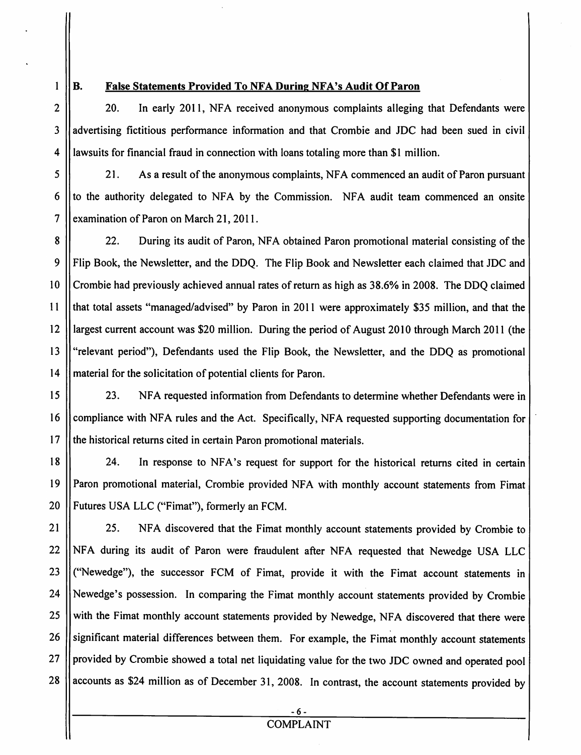$\mathbf{1}$ 

#### B. False Statements Provided To NFA During NFA's Audit Of Paron

2 1 20. In early 2011, NFA received anonymous complaints alleging that Defendants were 3 I advertising fictitious performance information and that Crombie and JDC had been sued in civil  $4$  || lawsuits for financial fraud in connection with loans totaling more than \$1 million.

5 | 21. As a result of the anonymous complaints, NFA commenced an audit of Paron pursuant 6  $\parallel$  to the authority delegated to NFA by the Commission. NFA audit team commenced an onsite 7  $\vert$  examination of Paron on March 21, 2011.

8 | 22. During its audit of Paron, NFA obtained Paron promotional material consisting of the 9 Flip Book, the Newsletter, and the DDQ. The Flip Book and Newsletter each claimed that JDC and 10 Crombie had previously achieved annual rates of return as high as 38.6% in 2008. The DDQ claimed 11 that total assets "managed/advised" by Paron in 2011 were approximately \$35 million, and that the 12 largest current account was \$20 million. During the period of August 2010 through March 2011 (the 13 || "relevant period"), Defendants used the Flip Book, the Newsletter, and the DDQ as promotional 14 | material for the solicitation of potential clients for Paron.

15 23. NFA requested information from Defendants to determine whether Defendants were in 16 Compliance with NFA rules and the Act. Specifically, NFA requested supporting documentation for 17 || the historical returns cited in certain Paron promotional materials.

18 || 24. In response to NFA's request for support for the historical returns cited in certain 19 || Paron promotional material, Crombie provided NFA with monthly account statements from Fimat 20 || Futures USA LLC ("Fimat"), formerly an FCM.

21 | 25. NFA discovered that the Fimat monthly account statements provided by Crombie to 22 NFA during its audit of Paron were fraudulent after NFA requested that Newedge USA LLC 23 ("Newedge"), the successor FCM of Fimat, provide it with the Fimat account statements in 24 Newedge's possession. In comparing the Fimat monthly account statements provided by Crombie 25 Weith the Fimat monthly account statements provided by Newedge, NFA discovered that there were 26 Significant material differences between them. For example, the Fimat monthly account statements 27 || provided by Crombie showed a total net liquidating value for the two JDC owned and operated pool  $28$  | accounts as \$24 million as of December 31, 2008. In contrast, the account statements provided by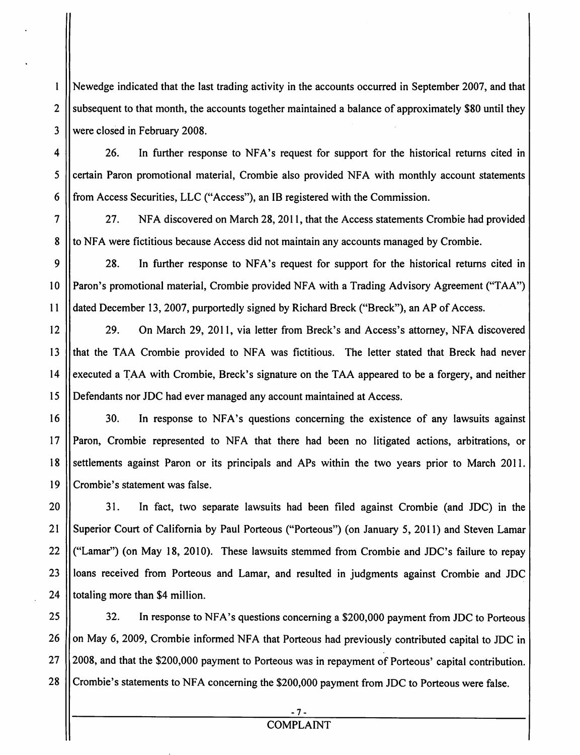$\mathbf{1}$ Newedge indicated that the last trading activity in the accounts occurred in September 2007, and that 2  $\parallel$  subsequent to that month, the accounts together maintained a balance of approximately \$80 until they 3 Were closed in February 2008.

4 | 26. In further response to NFA's request for support for the historical returns cited in 5 Certain Paron promotional material, Crombie also provided NFA with monthly account statements 6 | from Access Securities, LLC ("Access"), an IB registered with the Commission.

7 27. NFA discovered on March 28, 2011, that the Access statements Crombie had provided 8 to NFA were fictitious because Access did not maintain any accounts managed by Crombie.

9 28. In further response to NFA's request for support for the historical returns cited in 10 Paron's promotional material, Crombie provided NFA with a Trading Advisory Agreement ("TAA") 11 dated December 13, 2007, purportedly signed by Richard Breck ("Breck"), an AP of Access.

12 | 29. On March 29, 2011, via letter from Breck's and Access's attorney, NFA discovered 13 Ithat the TAA Crombie provided to NFA was fictitious. The letter stated that Breck had never 14 executed a TAA with Crombie, Breck's signature on the TAA appeared to be a forgery, and neither 15 Defendants nor JDC had ever managed any account maintained at Access.

16 || 30. In response to NFA's questions concerning the existence of any lawsuits against 17 || Paron, Crombie represented to NFA that there had been no litigated actions, arbitrations, or 18 Settlements against Paron or its principals and APs within the two years prior to March 2011. 19 Crombie's statement was false.

20 | 31. In fact, two separate lawsuits had been filed against Crombie (and JDC) in the 21 || Superior Court of California by Paul Porteous ("Porteous") (on January 5, 2011) and Steven Lamar 22 ("Lamar") (on May 18, 2010). These lawsuits stemmed from Crombie and JDC's failure to repay 23 || loans received from Porteous and Lamar, and resulted in judgments against Crombie and JDC 24  $\parallel$  totaling more than \$4 million.

25  $\parallel$  32. In response to NFA's questions concerning a \$200,000 payment from JDC to Porteous 26  $\parallel$  on May 6, 2009, Crombie informed NFA that Porteous had previously contributed capital to JDC in 27 || 2008, and that the \$200,000 payment to Porteous was in repayment of Porteous' capital contribution. 28 | Crombie's statements to NFA concerning the \$200,000 payment from JDC to Porteous were false.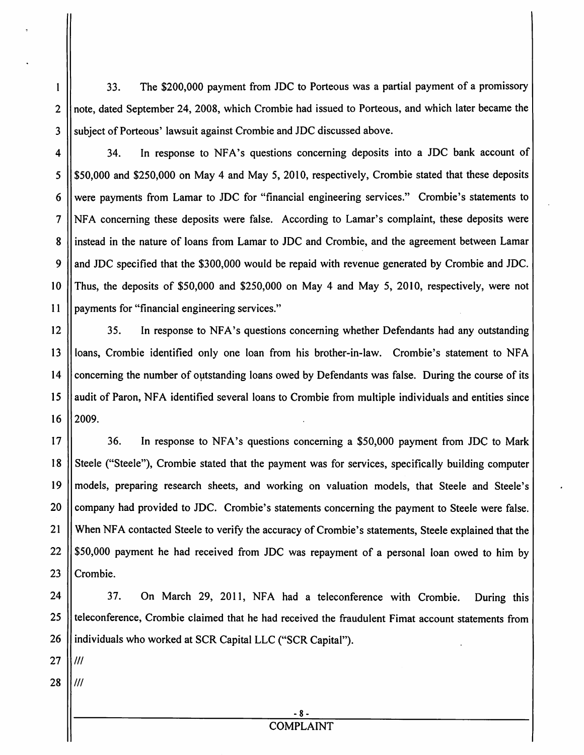33. The \$200,000 payment from JDC to Porteous was a partial payment of a promissory 2 || note, dated September 24, 2008, which Crombie had issued to Porteous, and which later became the 3 Subject of Porteous' lawsuit against Crombie and JDC discussed above.

4 || 34. In response to NFA's questions concerning deposits into a JDC bank account of  $5 \parallel$  \$50,000 and \$250,000 on May 4 and May 5, 2010, respectively, Crombie stated that these deposits were payments from Lamar to JDC for "financial engineering services." Crombie's statements to NFA concerning these deposits were false. According to Lamar's complaint, these deposits were 8 || instead in the nature of loans from Lamar to JDC and Crombie, and the agreement between Lamar  $\parallel$  and JDC specified that the \$300,000 would be repaid with revenue generated by Crombie and JDC. Thus, the deposits of \$50,000 and \$250,000 on May 4 and May 5, 2010, respectively, were not payments for "financial engineering services."

12 | 35. In response to NFA's questions concerning whether Defendants had any outstanding 13 || loans, Crombie identified only one loan from his brother-in-law. Crombie's statement to NFA 14 concerning the number of outstanding loans owed by Defendants was false. During the course of its 15 || audit of Paron, NFA identified several loans to Crombie from multiple individuals and entities since  $16$   $12009$ .

17 | 36. In response to NFA's questions concerning a \$50,000 payment from JDC to Mark 18 Steele ("Steele"), Crombie stated that the payment was for services, specifically building computer 19 models, preparing research sheets, and working on valuation models, that Steele and Steele's 20 Company had provided to JDC. Crombie's statements concerning the payment to Steele were false. 21 When NFA contacted Steele to verify the accuracy of Crombie's statements, Steele explained that the  $22$  | \$50,000 payment he had received from JDC was repayment of a personal loan owed to him by 23 || Crombie.

24 | 37. On March 29, 2011, NFA had a teleconference with Crombie. During this 25 || teleconference, Crombie claimed that he had received the fraudulent Fimat account statements from 26 | individuals who worked at SCR Capital LLC ("SCR Capital").

 $27$   $11$   $11$ 

 $\mathbf{1}$ 

 $28$  IIII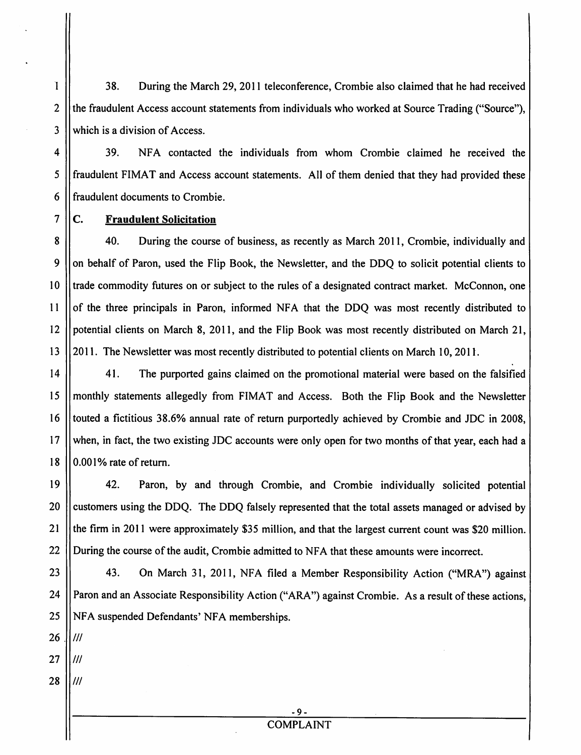1 38. During the March 29, 2011 teleconference, Crombie also claimed that he had received 2  $\parallel$  the fraudulent Access account statements from individuals who worked at Source Trading ("Source"),  $3$  Which is a division of Access.

4 39. NFA contacted the individuals from whom Crombie claimed he received the 5 fraudulent FIMAT and Access account statements. All of them denied that they had provided these 6 Il fraudulent documents to Crombie.

#### $7 \parallel C$ . Fraudulent Solicitation

8 | 40. During the course of business, as recently as March 2011, Crombie, individually and 9 || on behalf of Paron, used the Flip Book, the Newsletter, and the DDQ to solicit potential clients to 10 || trade commodity futures on or subject to the rules of a designated contract market. McConnon, one  $11$  of the three principals in Paron, informed NFA that the DDO was most recently distributed to 12 | potential clients on March 8, 2011, and the Flip Book was most recently distributed on March 21, 13 2011. The Newsletter was most recently distributed to potential clients on March 10, 2011.

14 || 41. The purported gains claimed on the promotional material were based on the falsified 15 monthly statements allegedly from FIMAT and Access. Both the Flip Book and the Newsletter 16 I touted a fictitious 38.6% annual rate of return purportedly achieved by Crombie and JDC in 2008. 17 When, in fact, the two existing JDC accounts were only open for two months of that year, each had a  $18$  | 0.001% rate of return.

19 42. Paron, by and through Crombie, and Crombie individually solicited potential 20 | customers using the DDQ. The DDQ falsely represented that the total assets managed or advised by 21  $\parallel$  the firm in 2011 were approximately \$35 million, and that the largest current count was \$20 million. 22 | During the course of the audit, Crombie admitted to NFA that these amounts were incorrect.

23 | 43. On March 31, 2011, NFA filed a Member Responsibility Action ("MRA") against 24 | Paron and an Associate Responsibility Action ("ARA") against Crombie. As a result of these actions, 25 NFA suspended Defendants' NFA memberships.

 $26$  IIII

 $27$  II*III* 

 $28$  II*III*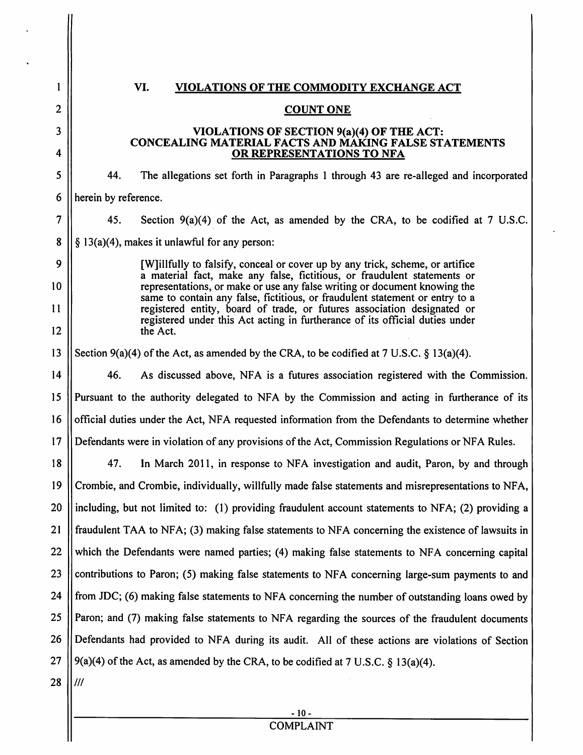| VI.<br>VIOLATIONS OF THE COMMODITY EXCHANGE ACT                                                                                                           |                                                                                                                                                                                                                                                                                                                                                                                                                                                                                                                                                                                                                                                                                                                                                                                                       |  |
|-----------------------------------------------------------------------------------------------------------------------------------------------------------|-------------------------------------------------------------------------------------------------------------------------------------------------------------------------------------------------------------------------------------------------------------------------------------------------------------------------------------------------------------------------------------------------------------------------------------------------------------------------------------------------------------------------------------------------------------------------------------------------------------------------------------------------------------------------------------------------------------------------------------------------------------------------------------------------------|--|
| <b>COUNT ONE</b>                                                                                                                                          |                                                                                                                                                                                                                                                                                                                                                                                                                                                                                                                                                                                                                                                                                                                                                                                                       |  |
| VIOLATIONS OF SECTION 9(a)(4) OF THE ACT:                                                                                                                 |                                                                                                                                                                                                                                                                                                                                                                                                                                                                                                                                                                                                                                                                                                                                                                                                       |  |
| OR REPRESENTATIONS TO NFA                                                                                                                                 |                                                                                                                                                                                                                                                                                                                                                                                                                                                                                                                                                                                                                                                                                                                                                                                                       |  |
| 44.                                                                                                                                                       |                                                                                                                                                                                                                                                                                                                                                                                                                                                                                                                                                                                                                                                                                                                                                                                                       |  |
| herein by reference.                                                                                                                                      |                                                                                                                                                                                                                                                                                                                                                                                                                                                                                                                                                                                                                                                                                                                                                                                                       |  |
| 45.                                                                                                                                                       |                                                                                                                                                                                                                                                                                                                                                                                                                                                                                                                                                                                                                                                                                                                                                                                                       |  |
| $\S$ 13(a)(4), makes it unlawful for any person:                                                                                                          |                                                                                                                                                                                                                                                                                                                                                                                                                                                                                                                                                                                                                                                                                                                                                                                                       |  |
| [W] illfully to falsify, conceal or cover up by any trick, scheme, or artifice                                                                            |                                                                                                                                                                                                                                                                                                                                                                                                                                                                                                                                                                                                                                                                                                                                                                                                       |  |
| representations, or make or use any false writing or document knowing the<br>same to contain any false, fictitious, or fraudulent statement or entry to a |                                                                                                                                                                                                                                                                                                                                                                                                                                                                                                                                                                                                                                                                                                                                                                                                       |  |
| registered under this Act acting in furtherance of its official duties under                                                                              |                                                                                                                                                                                                                                                                                                                                                                                                                                                                                                                                                                                                                                                                                                                                                                                                       |  |
|                                                                                                                                                           |                                                                                                                                                                                                                                                                                                                                                                                                                                                                                                                                                                                                                                                                                                                                                                                                       |  |
| Section $9(a)(4)$ of the Act, as amended by the CRA, to be codified at 7 U.S.C. § 13(a)(4).                                                               |                                                                                                                                                                                                                                                                                                                                                                                                                                                                                                                                                                                                                                                                                                                                                                                                       |  |
| 46.                                                                                                                                                       |                                                                                                                                                                                                                                                                                                                                                                                                                                                                                                                                                                                                                                                                                                                                                                                                       |  |
| Pursuant to the authority delegated to NFA by the Commission and acting in furtherance of its                                                             |                                                                                                                                                                                                                                                                                                                                                                                                                                                                                                                                                                                                                                                                                                                                                                                                       |  |
| official duties under the Act, NFA requested information from the Defendants to determine whether                                                         |                                                                                                                                                                                                                                                                                                                                                                                                                                                                                                                                                                                                                                                                                                                                                                                                       |  |
| Defendants were in violation of any provisions of the Act, Commission Regulations or NFA Rules.                                                           |                                                                                                                                                                                                                                                                                                                                                                                                                                                                                                                                                                                                                                                                                                                                                                                                       |  |
| 47.                                                                                                                                                       |                                                                                                                                                                                                                                                                                                                                                                                                                                                                                                                                                                                                                                                                                                                                                                                                       |  |
| Crombie, and Crombie, individually, willfully made false statements and misrepresentations to NFA,                                                        |                                                                                                                                                                                                                                                                                                                                                                                                                                                                                                                                                                                                                                                                                                                                                                                                       |  |
|                                                                                                                                                           |                                                                                                                                                                                                                                                                                                                                                                                                                                                                                                                                                                                                                                                                                                                                                                                                       |  |
| fraudulent TAA to NFA; (3) making false statements to NFA concerning the existence of lawsuits in                                                         |                                                                                                                                                                                                                                                                                                                                                                                                                                                                                                                                                                                                                                                                                                                                                                                                       |  |
| which the Defendants were named parties; (4) making false statements to NFA concerning capital                                                            |                                                                                                                                                                                                                                                                                                                                                                                                                                                                                                                                                                                                                                                                                                                                                                                                       |  |
|                                                                                                                                                           |                                                                                                                                                                                                                                                                                                                                                                                                                                                                                                                                                                                                                                                                                                                                                                                                       |  |
| from JDC; (6) making false statements to NFA concerning the number of outstanding loans owed by                                                           |                                                                                                                                                                                                                                                                                                                                                                                                                                                                                                                                                                                                                                                                                                                                                                                                       |  |
| Paron; and (7) making false statements to NFA regarding the sources of the fraudulent documents                                                           |                                                                                                                                                                                                                                                                                                                                                                                                                                                                                                                                                                                                                                                                                                                                                                                                       |  |
| Defendants had provided to NFA during its audit. All of these actions are violations of Section                                                           |                                                                                                                                                                                                                                                                                                                                                                                                                                                                                                                                                                                                                                                                                                                                                                                                       |  |
| 9(a)(4) of the Act, as amended by the CRA, to be codified at 7 U.S.C. $\S$ 13(a)(4).                                                                      |                                                                                                                                                                                                                                                                                                                                                                                                                                                                                                                                                                                                                                                                                                                                                                                                       |  |
| 111                                                                                                                                                       |                                                                                                                                                                                                                                                                                                                                                                                                                                                                                                                                                                                                                                                                                                                                                                                                       |  |
|                                                                                                                                                           |                                                                                                                                                                                                                                                                                                                                                                                                                                                                                                                                                                                                                                                                                                                                                                                                       |  |
| <b>COMPLAINT</b>                                                                                                                                          |                                                                                                                                                                                                                                                                                                                                                                                                                                                                                                                                                                                                                                                                                                                                                                                                       |  |
|                                                                                                                                                           | <b>CONCEALING MATERIAL FACTS AND MAKING FALSE STATEMENTS</b><br>The allegations set forth in Paragraphs 1 through 43 are re-alleged and incorporated<br>Section $9(a)(4)$ of the Act, as amended by the CRA, to be codified at 7 U.S.C.<br>a material fact, make any false, fictitious, or fraudulent statements or<br>registered entity, board of trade, or futures association designated or<br>the Act.<br>As discussed above, NFA is a futures association registered with the Commission.<br>In March 2011, in response to NFA investigation and audit, Paron, by and through<br>including, but not limited to: (1) providing fraudulent account statements to NFA; (2) providing a<br>contributions to Paron; (5) making false statements to NFA concerning large-sum payments to and<br>$-10-$ |  |

 $\ddot{\phantom{a}}$ 

 $\frac{1}{2}$ 

 $\ddot{\phantom{a}}$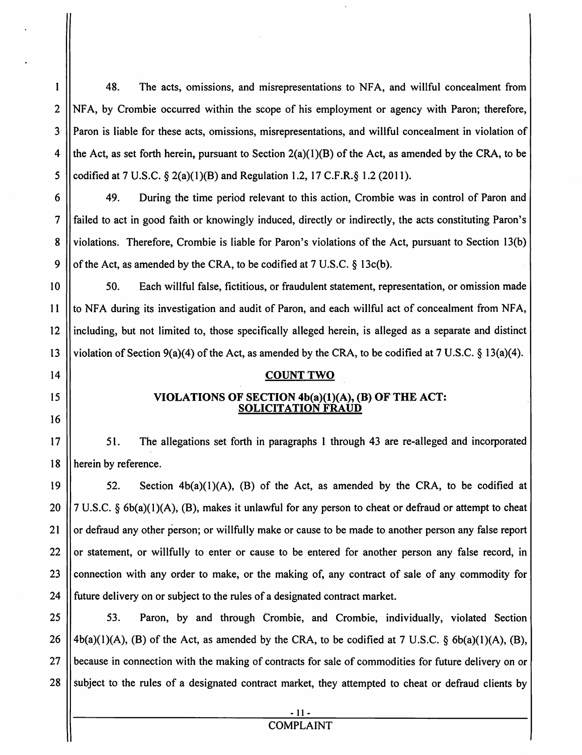48. The acts, omissions, and misrepresentations to NFA, and willful concealment from 2 NFA, by Crombie occurred within the scope of his employment or agency with Paron; therefore, l Paron is liable for these acts, omissions, misrepresentations, and willful concealment in violation of 4 the Act, as set forth herein, pursuant to Section  $2(a)(1)(B)$  of the Act, as amended by the CRA, to be 5  $\parallel$  codified at 7 U.S.C. § 2(a)(1)(B) and Regulation 1.2, 17 C.F.R.§ 1.2 (2011).

 49. During the time period relevant to this action, Crombie was in control of Paron and failed to act in good faith or knowingly induced, directly or indirectly, the acts constituting Paron's 8 Violations. Therefore, Crombie is liable for Paron's violations of the Act, pursuant to Section 13(b)  $\parallel$  of the Act, as amended by the CRA, to be codified at 7 U.S.C. § 13c(b).

10 | 50. Each willful false, fictitious, or fraudulent statement, representation, or omission made 11 || to NFA during its investigation and audit of Paron, and each willful act of concealment from NFA, 12 including, but not limited to, those specifically alleged herein, is alleged as a separate and distinct 13 || violation of Section 9(a)(4) of the Act, as amended by the CRA, to be codified at 7 U.S.C. § 13(a)(4).

#### 14 || COUNT TWO

#### 15  $\parallel$  VIOLATIONS OF SECTION 4b(a)(1)(A), (B) OF THE ACT: SOLICITATION FRAUD

17 | 51. The allegations set forth in paragraphs 1 through 43 are re-alleged and incorporated 18 | herein by reference.

19  $\parallel$  52. Section 4b(a)(1)(A), (B) of the Act, as amended by the CRA, to be codified at 20  $\left| \frac{7}{7} \right|$  U.S.C. § 6b(a)(1)(A), (B), makes it unlawful for any person to cheat or defraud or attempt to cheat 21 | or defraud any other person; or willfully make or cause to be made to another person any false report 22  $\parallel$  or statement, or willfully to enter or cause to be entered for another person any false record, in 23 Connection with any order to make, or the making of, any contract of sale of any commodity for 24 | future delivery on or subject to the rules of a designated contract market.

25 | 53. Paron, by and through Crombie, and Crombie, individually, violated Section 26  $|4b(a)(1)(A)$ , (B) of the Act, as amended by the CRA, to be codified at 7 U.S.C. § 6b(a)(1)(A), (B), 27 || because in connection with the making of contracts for sale of commodities for future delivery on or 28 Subject to the rules of a designated contract market, they attempted to cheat or defraud clients by

16

 $\mathbf{I}$ 

### **COMPLAINT**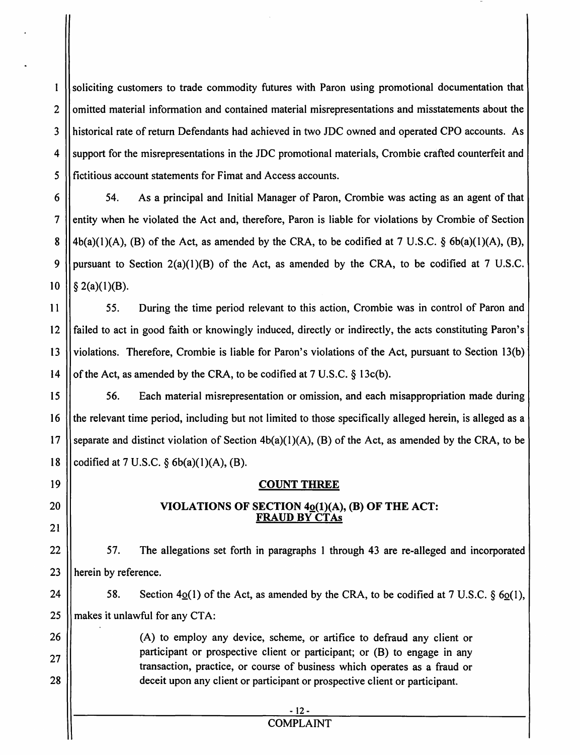$\mathbf{1}$ soliciting customers to trade commodity futures with Paron using promotional documentation that 2 || omitted material information and contained material misrepresentations and misstatements about the 3 historical rate ofreturn Defendants had achieved in two JDC owned and operated CPO accounts. As 4 Support for the misrepresentations in the JDC promotional materials, Crombie crafted counterfeit and 5 fictitious account statements for Fimat and Access accounts.

6 54. As a principal and Initial Manager of Paron, Crombie was acting as an agent of that 7 Hentity when he violated the Act and, therefore, Paron is liable for violations by Crombie of Section 8  $||4b(a)(1)(A), (B)$  of the Act, as amended by the CRA, to be codified at 7 U.S.C. § 6b(a)(1)(A), (B), 9 || pursuant to Section  $2(a)(1)(B)$  of the Act, as amended by the CRA, to be codified at 7 U.S.C. 10  $\left| \int g(2(a)(1)(B)) \right|$ .

11 | 55. During the time period relevant to this action, Crombie was in control of Paron and 12 || failed to act in good faith or knowingly induced, directly or indirectly, the acts constituting Paron's 13 || violations. Therefore, Crombie is liable for Paron's violations of the Act, pursuant to Section 13(b) 14  $\parallel$  of the Act, as amended by the CRA, to be codified at 7 U.S.C. § 13c(b).

15  $\parallel$  56. Each material misrepresentation or omission, and each misappropriation made during 16 the relevant time period, including but not limited to those specifically alleged herein, is alleged as a 17 Separate and distinct violation of Section  $4b(a)(1)(A)$ , (B) of the Act, as amended by the CRA, to be 18  $\vert \vert$  codified at 7 U.S.C. § 6b(a)(1)(A), (B).

#### 19 || COUNT THREE

#### 20  $\parallel$  VIOLATIONS OF SECTION 4 $\underline{o}(1)(A)$ , (B) OF THE ACT: FRAUD BY CTAs

22 | 57. The allegations set forth in paragraphs 1 through 43 are re-alleged and incorporated 23 || herein by reference.

makes it unlawful for any CTA: 24 25 58. Section  $4<sub>Q</sub>(1)$  of the Act, as amended by the CRA, to be codified at 7 U.S.C. § 60(1),

(A) to employ any device, scheme, or artifice to defraud any client or participant or prospective client or participant; or (B) to engage in any transaction, practice, or course of business which operates as a fraud or deceit upon any client or participant or prospective client or participant.

21

26

27

28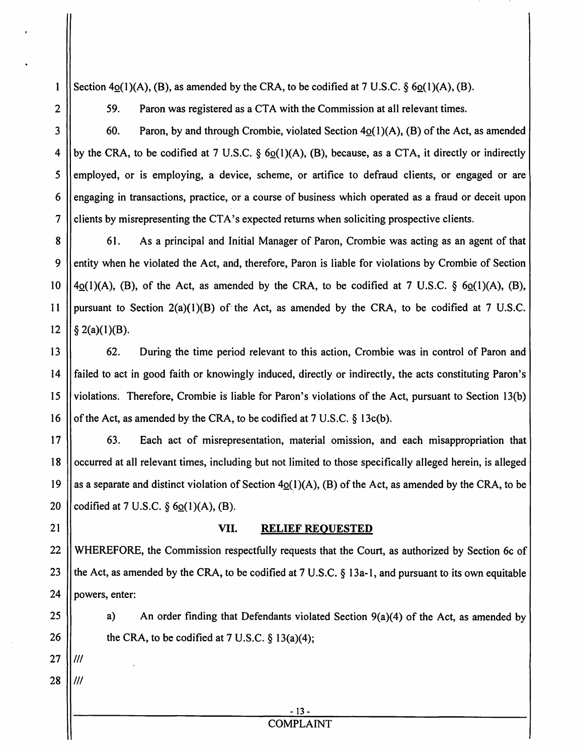Section 4o(1)(A), (B), as amended by the CRA, to be codified at 7 U.S.C.  $\S$  6o(1)(A), (B).

59.

2

 $\mathbf{1}$ 

3

Paron was registered as a CTA with the Commission at all relevant times.

60. Paron, by and through Crombie, violated Section  $4o(1)(A)$ , (B) of the Act, as amended 4 by the CRA, to be codified at 7 U.S.C.  $\delta$  60(1)(A), (B), because, as a CTA, it directly or indirectly  $5$  employed, or is employing, a device, scheme, or artifice to defraud clients, or engaged or are 6 engaging in transactions, practice, or a course of business which operated as a fraud or deceit upon 7 clients by misrepresenting the CTA's expected returns when soliciting prospective clients.

8 61. As a principal and Initial Manager of Paron, Crombie was acting as an agent of that 9 entity when he violated the Act, and, therefore, Paron is liable for violations by Crombie of Section 10  $||4_0(1)(A)$ , (B), of the Act, as amended by the CRA, to be codified at 7 U.S.C. § 6 $_0(1)(A)$ , (B), 11 | pursuant to Section  $2(a)(1)(B)$  of the Act, as amended by the CRA, to be codified at 7 U.S.C. 12  $|| \S 2(a)(1)(B)$ .

**62.** During the time period relevant to this action, Crombie was in control of Paron and 14 | failed to act in good faith or knowingly induced, directly or indirectly, the acts constituting Paron's violations. Therefore, Crombie is liable for Paron's violations of the Act, pursuant to Section 13(b)  $\parallel$  of the Act, as amended by the CRA, to be codified at 7 U.S.C. § 13c(b).

17 **63.** Each act of misrepresentation, material omission, and each misappropriation that 18 Cocurred at all relevant times, including but not limited to those specifically alleged herein, is alleged 19 || as a separate and distinct violation of Section  $4o(1)(A)$ , (B) of the Act, as amended by the CRA, to be 20  $\vert$  codified at 7 U.S.C. § 6 $\Omega(1)(A)$ , (B).

#### 21 || VII. RELIEF REQUESTED

22 WHEREFORE, the Commission respectfully requests that the Court, as authorized by Section 6c of 23  $\parallel$  the Act, as amended by the CRA, to be codified at 7 U.S.C. § 13a-1, and pursuant to its own equitable  $24$  | powers, enter:

25  $\parallel$  a) An order finding that Defendants violated Section 9(a)(4) of the Act, as amended by 26  $\parallel$  the CRA, to be codified at 7 U.S.C. § 13(a)(4);

 $27$   $11$ 

 $28$  IIII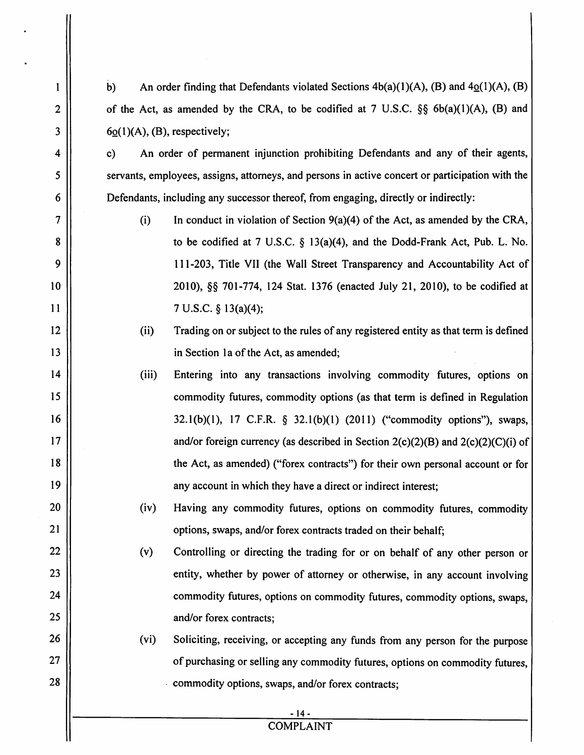| 1            | An order finding that Defendants violated Sections $4b(a)(1)(A)$ , (B) and $4o(1)(A)$ , (B)<br>b) |  |  |
|--------------|---------------------------------------------------------------------------------------------------|--|--|
| $\mathbf{2}$ | of the Act, as amended by the CRA, to be codified at 7 U.S.C. $\S$ 6b(a)(1)(A), (B) and           |  |  |
| 3            | $60(1)(A)$ , (B), respectively;                                                                   |  |  |
| 4            | An order of permanent injunction prohibiting Defendants and any of their agents,<br>$\mathbf{c}$  |  |  |
| 5            | servants, employees, assigns, attorneys, and persons in active concert or participation with the  |  |  |
| 6            | Defendants, including any successor thereof, from engaging, directly or indirectly:               |  |  |
| 7            | (i)<br>In conduct in violation of Section $9(a)(4)$ of the Act, as amended by the CRA,            |  |  |
| 8            | to be codified at 7 U.S.C. $\S$ 13(a)(4), and the Dodd-Frank Act, Pub. L. No.                     |  |  |
| 9            | 111-203, Title VII (the Wall Street Transparency and Accountability Act of                        |  |  |
| 10           | 2010), §§ 701-774, 124 Stat. 1376 (enacted July 21, 2010), to be codified at                      |  |  |
| 11           | 7 U.S.C. § 13(a)(4);                                                                              |  |  |
| 12           | (ii)<br>Trading on or subject to the rules of any registered entity as that term is defined       |  |  |
| 13           | in Section 1a of the Act, as amended;                                                             |  |  |
| 14           | (iii)<br>Entering into any transactions involving commodity futures, options on                   |  |  |
| 15           | commodity futures, commodity options (as that term is defined in Regulation                       |  |  |
| 16           | $32.1(b)(1)$ , 17 C.F.R. § 32.1(b)(1) (2011) ("commodity options"), swaps,                        |  |  |
| 17           | and/or foreign currency (as described in Section $2(c)(2)(B)$ and $2(c)(2)(C)(i)$ of              |  |  |
| 18           | the Act, as amended) ("forex contracts") for their own personal account or for                    |  |  |
| 19           | any account in which they have a direct or indirect interest;                                     |  |  |
| 20           | (iv)<br>Having any commodity futures, options on commodity futures, commodity                     |  |  |
| 21           | options, swaps, and/or forex contracts traded on their behalf;                                    |  |  |
| 22           | (v)<br>Controlling or directing the trading for or on behalf of any other person or               |  |  |
| 23           | entity, whether by power of attorney or otherwise, in any account involving                       |  |  |
| 24           | commodity futures, options on commodity futures, commodity options, swaps,                        |  |  |
| 25           | and/or forex contracts;                                                                           |  |  |
| 26           | (vi)<br>Soliciting, receiving, or accepting any funds from any person for the purpose             |  |  |
| 27           | of purchasing or selling any commodity futures, options on commodity futures,                     |  |  |
| 28           | commodity options, swaps, and/or forex contracts;                                                 |  |  |
|              | - 14 -                                                                                            |  |  |
|              | <b>COMPLAINT</b>                                                                                  |  |  |

#### COMPLAINT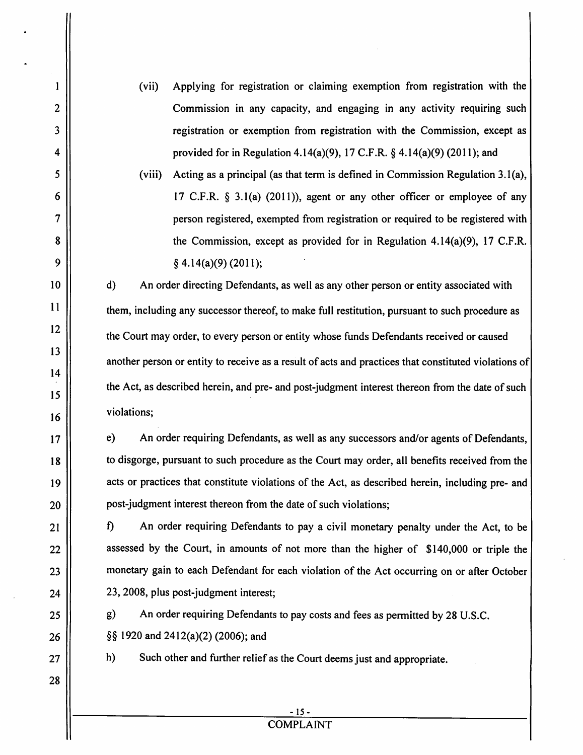(vii) Applying for registration or claiming exemption from registration with the Commission in any capacity, and engaging in any activity requiring such registration or exemption from registration with the Commission, except as provided for in Regulation 4.14(a)(9), 17 C.F.R. § 4. 14(a)(9) (2011); and

(viii) Acting as a principal (as that term is defined in Commission Regulation 3.l(a), 17 C.F.R.  $\S$  3.1(a) (2011)), agent or any other officer or employee of any person registered, exempted from registration or required to be registered with the Commission, except as provided for in Regulation 4.14(a)(9), 17 C.F.R. § 4.14(a)(9) (2011);

d) An order directing Defendants, as well as any other person or entity associated with them, including any successor thereof, to make full restitution, pursuant to such procedure as the Court may order, to every person or entity whose funds Defendants received or caused another person or entity to receive as a result of acts and practices that constituted violations of the Act, as described herein, and pre- and post-judgment interest thereon from the date of such violations;

e) An order requiring Defendants, as well as any successors and/or agents of Defendants, to disgorge, pursuant to such procedure as the Court may order, all benefits received from the acts or practices that constitute violations of the Act, as described herein, including pre- and post-judgment interest thereon from the date of such violations;

f) An order requiring Defendants to pay a civil monetary penalty under the Act, to be assessed by the Court, in amounts of not more than the higher of \$140,000 or triple the monetary gain to each Defendant for each violation of the Act occurring on or after October 23,2008, plus post-judgment interest;

g) An order requiring Defendants to pay costs and fees as permitted by 28 U.S.C.  $\S$ § 1920 and 2412(a)(2) (2006); and

h) Such other and further relief as the Court deems just and appropriate.